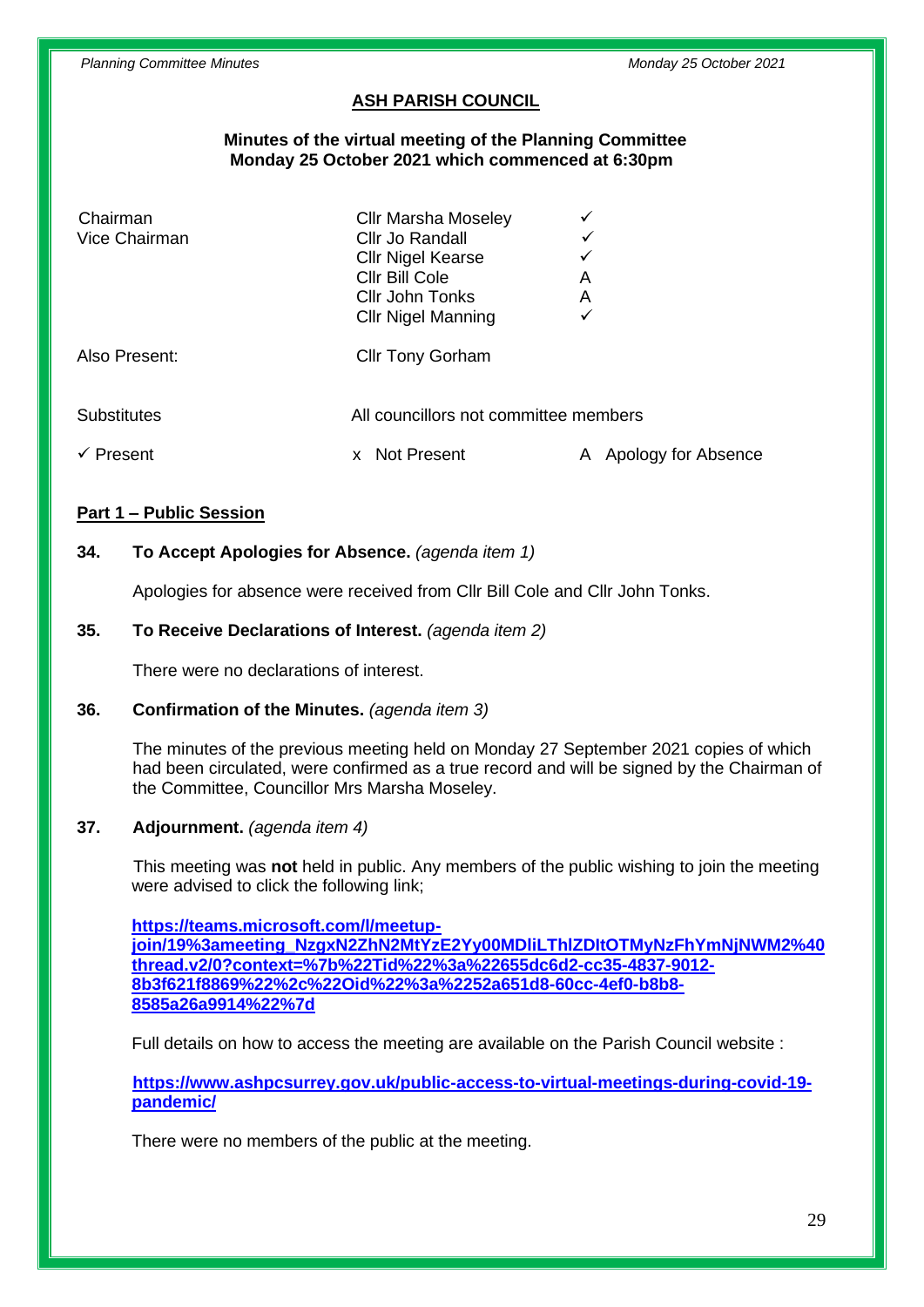# **ASH PARISH COUNCIL**

#### **Minutes of the virtual meeting of the Planning Committee Monday 25 October 2021 which commenced at 6:30pm**

| Chairman<br>Vice Chairman | <b>Cllr Marsha Moseley</b><br>Cllr Jo Randall<br><b>Cllr Nigel Kearse</b><br>Cllr Bill Cole<br>Cllr John Tonks<br><b>Cllr Nigel Manning</b> | ✓<br>✓<br>A<br>A<br>✓ |                     |
|---------------------------|---------------------------------------------------------------------------------------------------------------------------------------------|-----------------------|---------------------|
| Also Present:             | <b>Cllr Tony Gorham</b>                                                                                                                     |                       |                     |
| <b>Substitutes</b>        | All councillors not committee members                                                                                                       |                       |                     |
| Present                   | Not Present<br><b>X</b>                                                                                                                     |                       | Apology for Absence |

### **Part 1 – Public Session**

## **34. To Accept Apologies for Absence.** *(agenda item 1)*

Apologies for absence were received from Cllr Bill Cole and Cllr John Tonks.

### **35. To Receive Declarations of Interest.** *(agenda item 2)*

There were no declarations of interest.

#### **36. Confirmation of the Minutes.** *(agenda item 3)*

The minutes of the previous meeting held on Monday 27 September 2021 copies of which had been circulated, were confirmed as a true record and will be signed by the Chairman of the Committee, Councillor Mrs Marsha Moseley.

## **37. Adjournment.** *(agenda item 4)*

This meeting was **not** held in public. Any members of the public wishing to join the meeting were advised to click the following link;

**[https://teams.microsoft.com/l/meetup](https://teams.microsoft.com/l/meetup-join/19%3ameeting_NzgxN2ZhN2MtYzE2Yy00MDliLThlZDItOTMyNzFhYmNjNWM2%40thread.v2/0?context=%7b%22Tid%22%3a%22655dc6d2-cc35-4837-9012-8b3f621f8869%22%2c%22Oid%22%3a%2252a651d8-60cc-4ef0-b8b8-8585a26a9914%22%7d)[join/19%3ameeting\\_NzgxN2ZhN2MtYzE2Yy00MDliLThlZDItOTMyNzFhYmNjNWM2%40](https://teams.microsoft.com/l/meetup-join/19%3ameeting_NzgxN2ZhN2MtYzE2Yy00MDliLThlZDItOTMyNzFhYmNjNWM2%40thread.v2/0?context=%7b%22Tid%22%3a%22655dc6d2-cc35-4837-9012-8b3f621f8869%22%2c%22Oid%22%3a%2252a651d8-60cc-4ef0-b8b8-8585a26a9914%22%7d) [thread.v2/0?context=%7b%22Tid%22%3a%22655dc6d2-cc35-4837-9012-](https://teams.microsoft.com/l/meetup-join/19%3ameeting_NzgxN2ZhN2MtYzE2Yy00MDliLThlZDItOTMyNzFhYmNjNWM2%40thread.v2/0?context=%7b%22Tid%22%3a%22655dc6d2-cc35-4837-9012-8b3f621f8869%22%2c%22Oid%22%3a%2252a651d8-60cc-4ef0-b8b8-8585a26a9914%22%7d) [8b3f621f8869%22%2c%22Oid%22%3a%2252a651d8-60cc-4ef0-b8b8-](https://teams.microsoft.com/l/meetup-join/19%3ameeting_NzgxN2ZhN2MtYzE2Yy00MDliLThlZDItOTMyNzFhYmNjNWM2%40thread.v2/0?context=%7b%22Tid%22%3a%22655dc6d2-cc35-4837-9012-8b3f621f8869%22%2c%22Oid%22%3a%2252a651d8-60cc-4ef0-b8b8-8585a26a9914%22%7d) [8585a26a9914%22%7d](https://teams.microsoft.com/l/meetup-join/19%3ameeting_NzgxN2ZhN2MtYzE2Yy00MDliLThlZDItOTMyNzFhYmNjNWM2%40thread.v2/0?context=%7b%22Tid%22%3a%22655dc6d2-cc35-4837-9012-8b3f621f8869%22%2c%22Oid%22%3a%2252a651d8-60cc-4ef0-b8b8-8585a26a9914%22%7d)**

Full details on how to access the meeting are available on the Parish Council website :

**[https://www.ashpcsurrey.gov.uk/public-access-to-virtual-meetings-during-covid-19](https://www.ashpcsurrey.gov.uk/public-access-to-virtual-meetings-during-covid-19-pandemic/) [pandemic/](https://www.ashpcsurrey.gov.uk/public-access-to-virtual-meetings-during-covid-19-pandemic/)**

There were no members of the public at the meeting.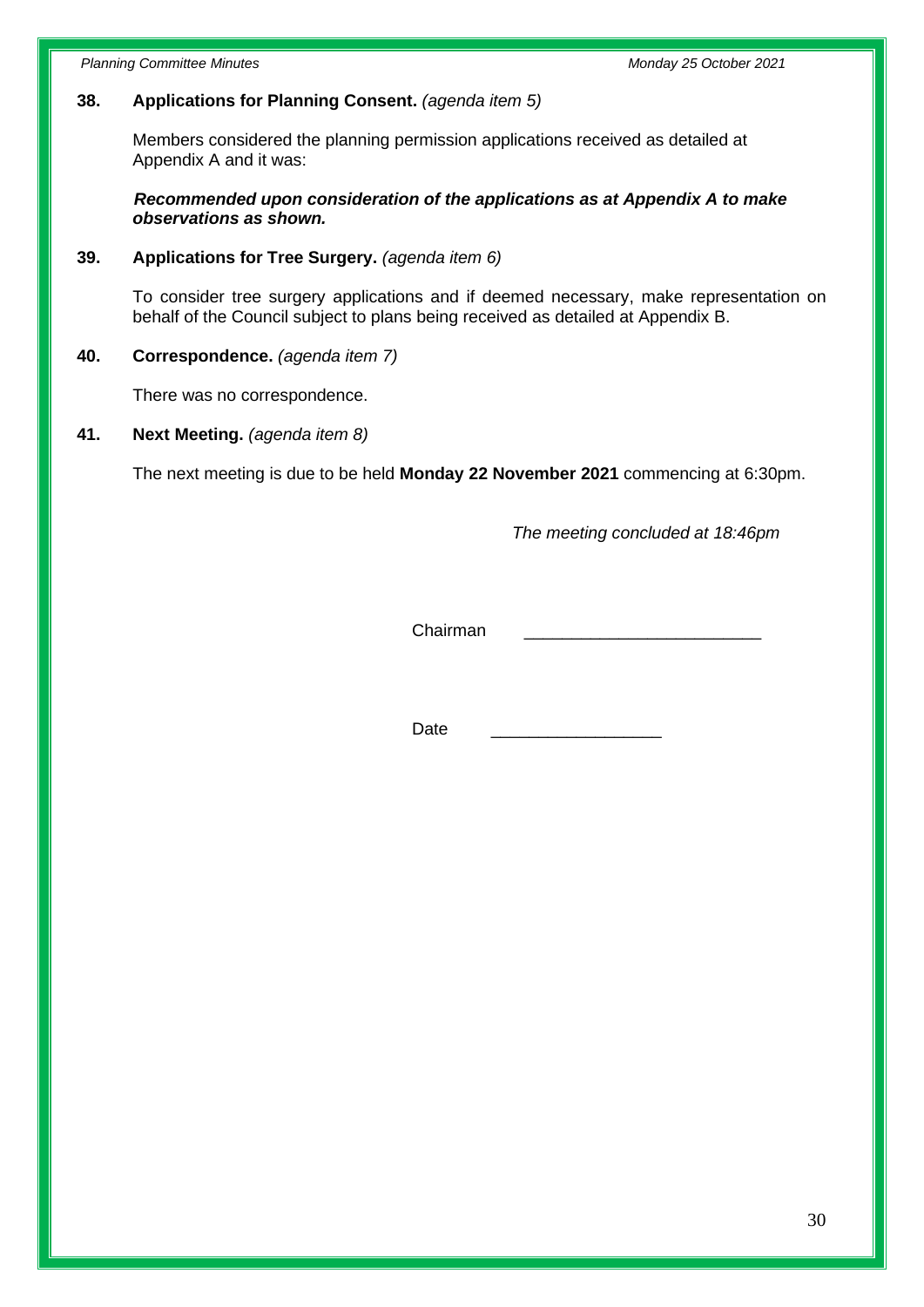*Planning Committee Minutes Monday 25 October 2021*

## **38. Applications for Planning Consent.** *(agenda item 5)*

Members considered the planning permission applications received as detailed at Appendix A and it was:

 *Recommended upon consideration of the applications as at Appendix A to make observations as shown.*

### **39. Applications for Tree Surgery.** *(agenda item 6)*

To consider tree surgery applications and if deemed necessary, make representation on behalf of the Council subject to plans being received as detailed at Appendix B.

## **40. Correspondence.** *(agenda item 7)*

There was no correspondence.

### **41. Next Meeting.** *(agenda item 8)*

The next meeting is due to be held **Monday 22 November 2021** commencing at 6:30pm.

*The meeting concluded at 18:46pm*

Chairman \_\_\_\_\_\_\_\_\_\_\_\_\_\_\_\_\_\_\_\_\_\_\_\_\_

Date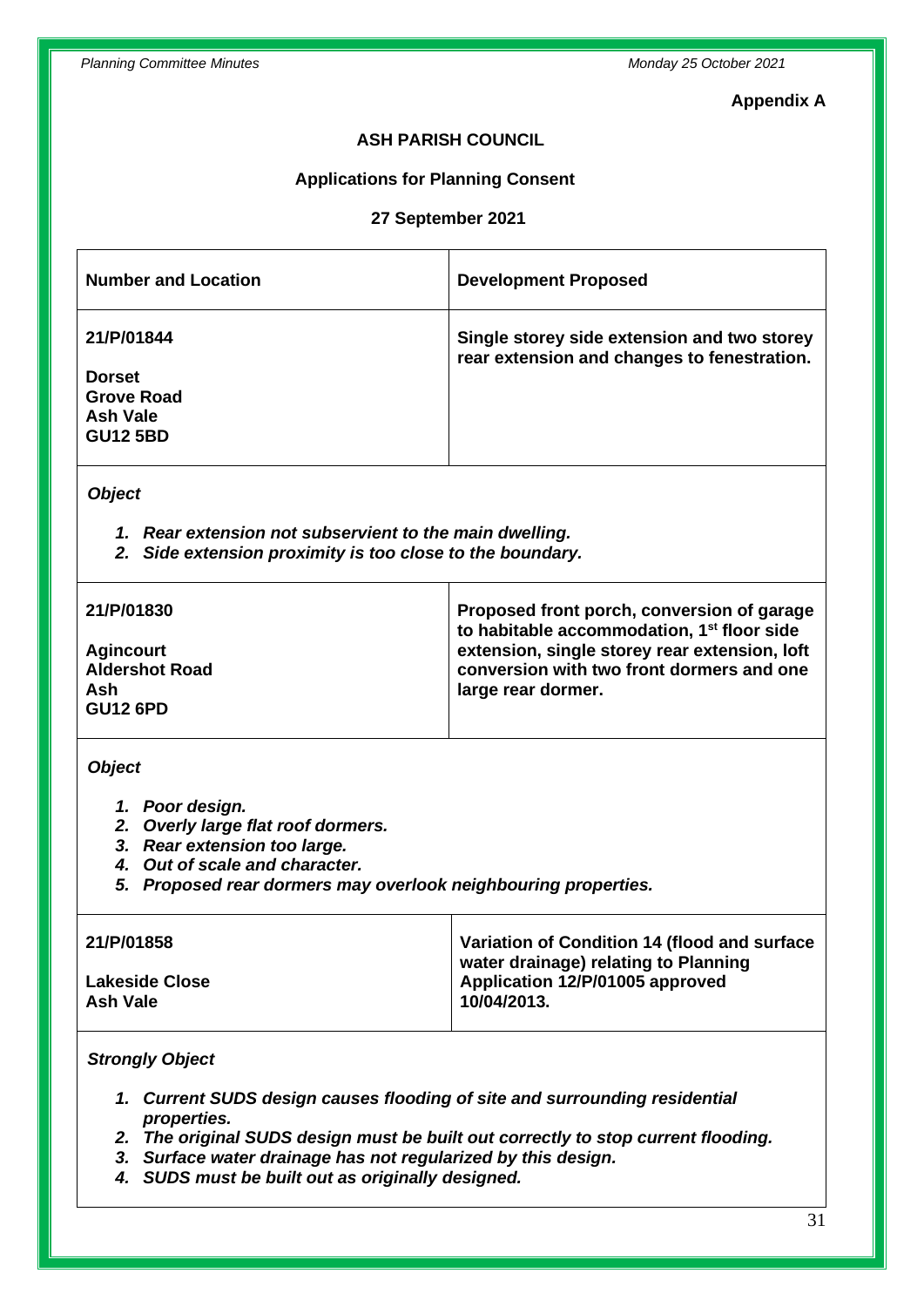#### **Appendix A**

## **ASH PARISH COUNCIL**

#### **Applications for Planning Consent**

#### **27 September 2021**

| <b>Number and Location</b>                                                      | <b>Development Proposed</b>                                                                |  |
|---------------------------------------------------------------------------------|--------------------------------------------------------------------------------------------|--|
| 21/P/01844<br><b>Dorset</b><br><b>Grove Road</b><br>Ash Vale<br><b>GU12 5BD</b> | Single storey side extension and two storey<br>rear extension and changes to fenestration. |  |
| <b>Object</b>                                                                   |                                                                                            |  |
| Rear extension not subservient to the main dwelling.<br>1.                      |                                                                                            |  |

*2. Side extension proximity is too close to the boundary.*

| 21/P/01830                                                          | Proposed front porch, conversion of garage<br>to habitable accommodation, 1 <sup>st</sup> floor side             |
|---------------------------------------------------------------------|------------------------------------------------------------------------------------------------------------------|
| <b>Agincourt</b><br><b>Aldershot Road</b><br>Ash<br><b>GU12 6PD</b> | extension, single storey rear extension, loft<br>conversion with two front dormers and one<br>large rear dormer. |

#### *Object*

- *1. Poor design.*
- *2. Overly large flat roof dormers.*
- *3. Rear extension too large.*
- *4. Out of scale and character.*
- *5. Proposed rear dormers may overlook neighbouring properties.*

| 21/P/01858            | Variation of Condition 14 (flood and surface<br>water drainage) relating to Planning |
|-----------------------|--------------------------------------------------------------------------------------|
| <b>Lakeside Close</b> | Application 12/P/01005 approved                                                      |
| Ash Vale              | 10/04/2013.                                                                          |

## *Strongly Object*

- *1. Current SUDS design causes flooding of site and surrounding residential properties.*
- *2. The original SUDS design must be built out correctly to stop current flooding.*
- *3. Surface water drainage has not regularized by this design.*
- *4. SUDS must be built out as originally designed.*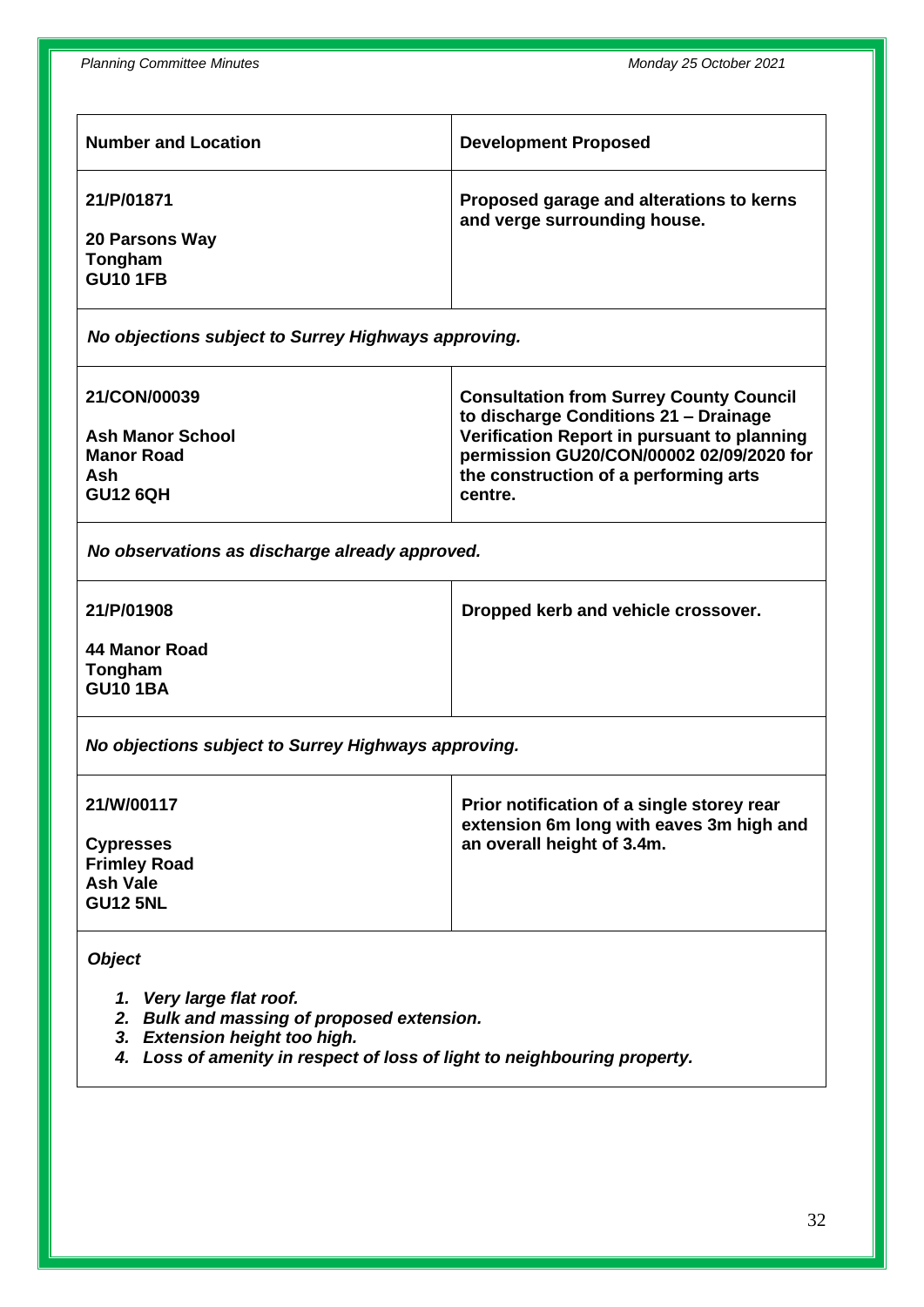| <b>Number and Location</b>                                        | <b>Development Proposed</b>                                              |
|-------------------------------------------------------------------|--------------------------------------------------------------------------|
| 21/P/01871<br><b>20 Parsons Way</b><br>Tongham<br><b>GU10 1FB</b> | Proposed garage and alterations to kerns<br>and verge surrounding house. |
|                                                                   |                                                                          |

*No objections subject to Surrey Highways approving.*

| 21/CON/00039            | <b>Consultation from Surrey County Council</b><br>to discharge Conditions 21 - Drainage |
|-------------------------|-----------------------------------------------------------------------------------------|
| <b>Ash Manor School</b> | Verification Report in pursuant to planning                                             |
| <b>Manor Road</b>       | permission GU20/CON/00002 02/09/2020 for                                                |
| Ash                     | the construction of a performing arts                                                   |
| <b>GU12 6QH</b>         | centre.                                                                                 |

*No observations as discharge already approved.*

**21/P/01908**

**Dropped kerb and vehicle crossover.**

**44 Manor Road Tongham GU10 1BA**

*No objections subject to Surrey Highways approving.*

| 21/W/00117          | Prior notification of a single storey rear<br>extension 6m long with eaves 3m high and |
|---------------------|----------------------------------------------------------------------------------------|
| <b>Cypresses</b>    | an overall height of 3.4m.                                                             |
| <b>Frimley Road</b> |                                                                                        |
| <b>Ash Vale</b>     |                                                                                        |
| <b>GU12 5NL</b>     |                                                                                        |
|                     |                                                                                        |

*Object*

- *1. Very large flat roof.*
- *2. Bulk and massing of proposed extension.*
- *3. Extension height too high.*
- *4. Loss of amenity in respect of loss of light to neighbouring property.*